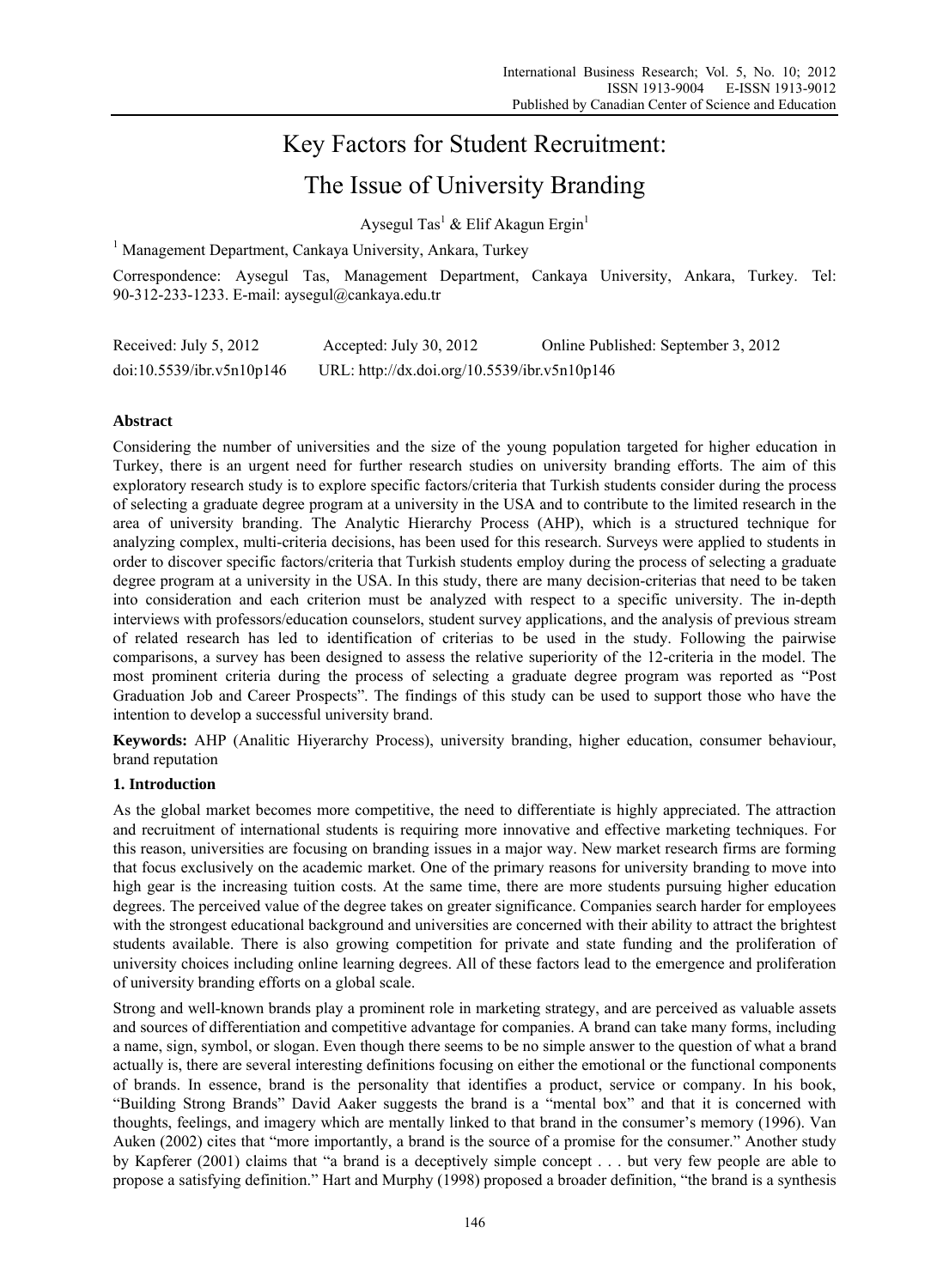# Key Factors for Student Recruitment:

# The Issue of University Branding

Aysegul Tas<sup>1</sup> & Elif Akagun Ergin<sup>1</sup>

<sup>1</sup> Management Department, Cankaya University, Ankara, Turkey

Correspondence: Aysegul Tas, Management Department, Cankaya University, Ankara, Turkey. Tel: 90-312-233-1233. E-mail: aysegul@cankaya.edu.tr

| Received: July 5, 2012    | Accepted: July 30, 2012                      | Online Published: September 3, 2012 |  |  |
|---------------------------|----------------------------------------------|-------------------------------------|--|--|
| doi:10.5539/ibr.v5n10p146 | URL: http://dx.doi.org/10.5539/ibr.v5n10p146 |                                     |  |  |

# **Abstract**

Considering the number of universities and the size of the young population targeted for higher education in Turkey, there is an urgent need for further research studies on university branding efforts. The aim of this exploratory research study is to explore specific factors/criteria that Turkish students consider during the process of selecting a graduate degree program at a university in the USA and to contribute to the limited research in the area of university branding. The Analytic Hierarchy Process (AHP), which is a structured technique for analyzing complex, multi-criteria decisions, has been used for this research. Surveys were applied to students in order to discover specific factors/criteria that Turkish students employ during the process of selecting a graduate degree program at a university in the USA. In this study, there are many decision-criterias that need to be taken into consideration and each criterion must be analyzed with respect to a specific university. The in-depth interviews with professors/education counselors, student survey applications, and the analysis of previous stream of related research has led to identification of criterias to be used in the study. Following the pairwise comparisons, a survey has been designed to assess the relative superiority of the 12-criteria in the model. The most prominent criteria during the process of selecting a graduate degree program was reported as "Post Graduation Job and Career Prospects". The findings of this study can be used to support those who have the intention to develop a successful university brand.

**Keywords:** AHP (Analitic Hiyerarchy Process), university branding, higher education, consumer behaviour, brand reputation

# **1. Introduction**

As the global market becomes more competitive, the need to differentiate is highly appreciated. The attraction and recruitment of international students is requiring more innovative and effective marketing techniques. For this reason, universities are focusing on branding issues in a major way. New market research firms are forming that focus exclusively on the academic market. One of the primary reasons for university branding to move into high gear is the increasing tuition costs. At the same time, there are more students pursuing higher education degrees. The perceived value of the degree takes on greater significance. Companies search harder for employees with the strongest educational background and universities are concerned with their ability to attract the brightest students available. There is also growing competition for private and state funding and the proliferation of university choices including online learning degrees. All of these factors lead to the emergence and proliferation of university branding efforts on a global scale.

Strong and well-known brands play a prominent role in marketing strategy, and are perceived as valuable assets and sources of differentiation and competitive advantage for companies. A brand can take many forms, including a name, sign, symbol, or slogan. Even though there seems to be no simple answer to the question of what a brand actually is, there are several interesting definitions focusing on either the emotional or the functional components of brands. In essence, brand is the personality that identifies a product, service or company. In his book, "Building Strong Brands" David Aaker suggests the brand is a "mental box" and that it is concerned with thoughts, feelings, and imagery which are mentally linked to that brand in the consumer's memory (1996). Van Auken (2002) cites that "more importantly, a brand is the source of a promise for the consumer." Another study by Kapferer (2001) claims that "a brand is a deceptively simple concept . . . but very few people are able to propose a satisfying definition." Hart and Murphy (1998) proposed a broader definition, "the brand is a synthesis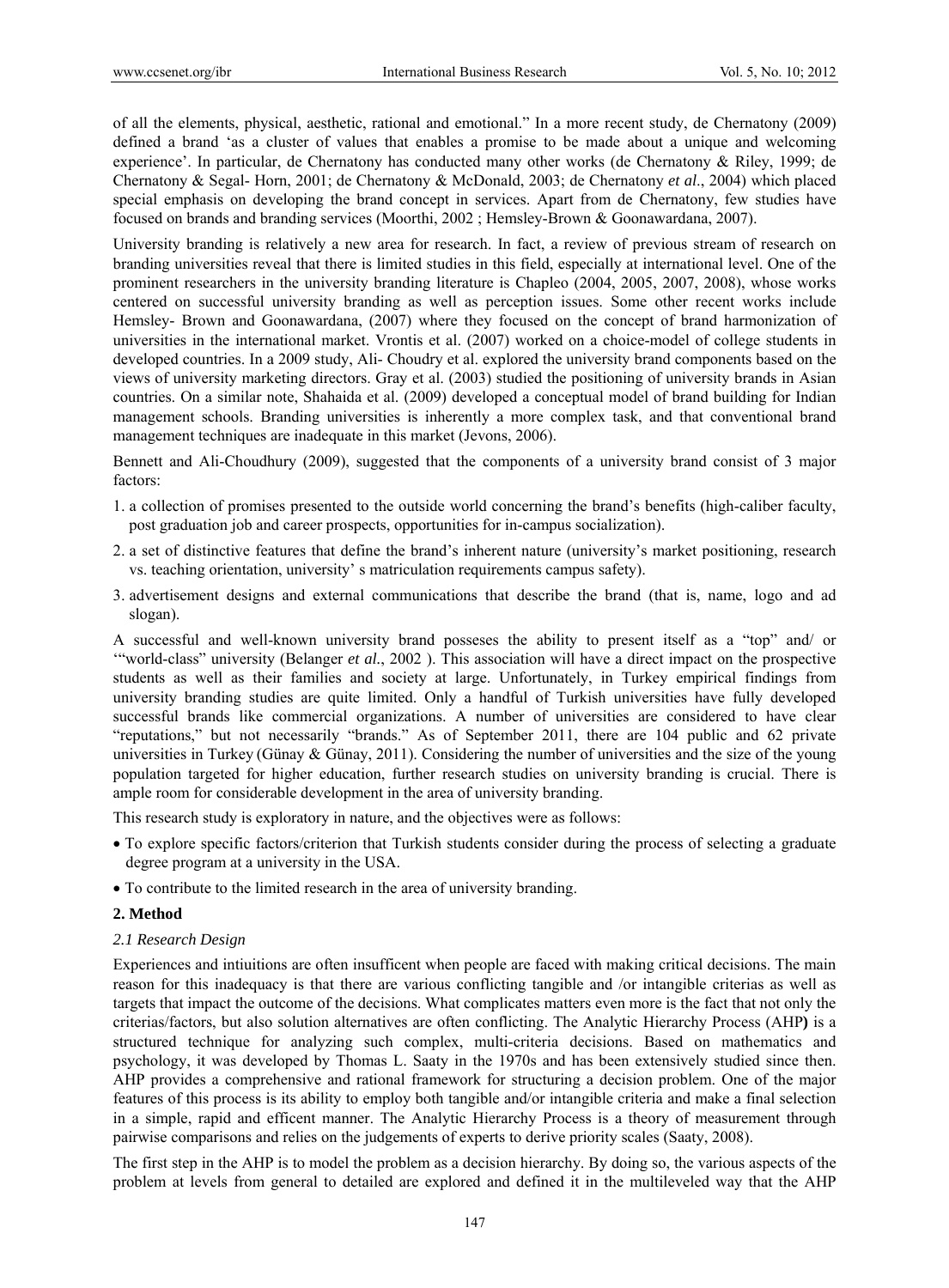of all the elements, physical, aesthetic, rational and emotional." In a more recent study, de Chernatony (2009) defined a brand 'as a cluster of values that enables a promise to be made about a unique and welcoming experience'. In particular, de Chernatony has conducted many other works (de Chernatony & Riley, 1999; de Chernatony & Segal- Horn, 2001; de Chernatony & McDonald, 2003; de Chernatony *et al*., 2004) which placed special emphasis on developing the brand concept in services. Apart from de Chernatony, few studies have focused on brands and branding services (Moorthi, 2002 ; Hemsley-Brown & Goonawardana, 2007).

University branding is relatively a new area for research. In fact, a review of previous stream of research on branding universities reveal that there is limited studies in this field, especially at international level. One of the prominent researchers in the university branding literature is Chapleo (2004, 2005, 2007, 2008), whose works centered on successful university branding as well as perception issues. Some other recent works include Hemsley- Brown and Goonawardana, (2007) where they focused on the concept of brand harmonization of universities in the international market. Vrontis et al. (2007) worked on a choice-model of college students in developed countries. In a 2009 study, Ali- Choudry et al. explored the university brand components based on the views of university marketing directors. Gray et al. (2003) studied the positioning of university brands in Asian countries. On a similar note, Shahaida et al. (2009) developed a conceptual model of brand building for Indian management schools. Branding universities is inherently a more complex task, and that conventional brand management techniques are inadequate in this market (Jevons, 2006).

Bennett and Ali-Choudhury (2009), suggested that the components of a university brand consist of 3 major factors:

- 1. a collection of promises presented to the outside world concerning the brand's benefits (high-caliber faculty, post graduation job and career prospects, opportunities for in-campus socialization).
- 2. a set of distinctive features that define the brand's inherent nature (university's market positioning, research vs. teaching orientation, university' s matriculation requirements campus safety).
- 3. advertisement designs and external communications that describe the brand (that is, name, logo and ad slogan).

A successful and well-known university brand posseses the ability to present itself as a "top" and/ or '"world-class" university (Belanger *et al.*, 2002 ). This association will have a direct impact on the prospective students as well as their families and society at large. Unfortunately, in Turkey empirical findings from university branding studies are quite limited. Only a handful of Turkish universities have fully developed successful brands like commercial organizations. A number of universities are considered to have clear "reputations," but not necessarily "brands." As of September 2011, there are 104 public and 62 private universities in Turkey (Günay & Günay, 2011). Considering the number of universities and the size of the young population targeted for higher education, further research studies on university branding is crucial. There is ample room for considerable development in the area of university branding.

This research study is exploratory in nature, and the objectives were as follows:

- To explore specific factors/criterion that Turkish students consider during the process of selecting a graduate degree program at a university in the USA.
- To contribute to the limited research in the area of university branding.

#### **2. Method**

# *2.1 Research Design*

Experiences and intiuitions are often insufficent when people are faced with making critical decisions. The main reason for this inadequacy is that there are various conflicting tangible and /or intangible criterias as well as targets that impact the outcome of the decisions. What complicates matters even more is the fact that not only the criterias/factors, but also solution alternatives are often conflicting. The Analytic Hierarchy Process (AHP**)** is a structured technique for analyzing such complex, multi-criteria decisions. Based on mathematics and psychology, it was developed by Thomas L. Saaty in the 1970s and has been extensively studied since then. AHP provides a comprehensive and rational framework for structuring a decision problem. One of the major features of this process is its ability to employ both tangible and/or intangible criteria and make a final selection in a simple, rapid and efficent manner. The Analytic Hierarchy Process is a theory of measurement through pairwise comparisons and relies on the judgements of experts to derive priority scales (Saaty, 2008).

The first step in the AHP is to model the problem as a decision hierarchy. By doing so, the various aspects of the problem at levels from general to detailed are explored and defined it in the multileveled way that the AHP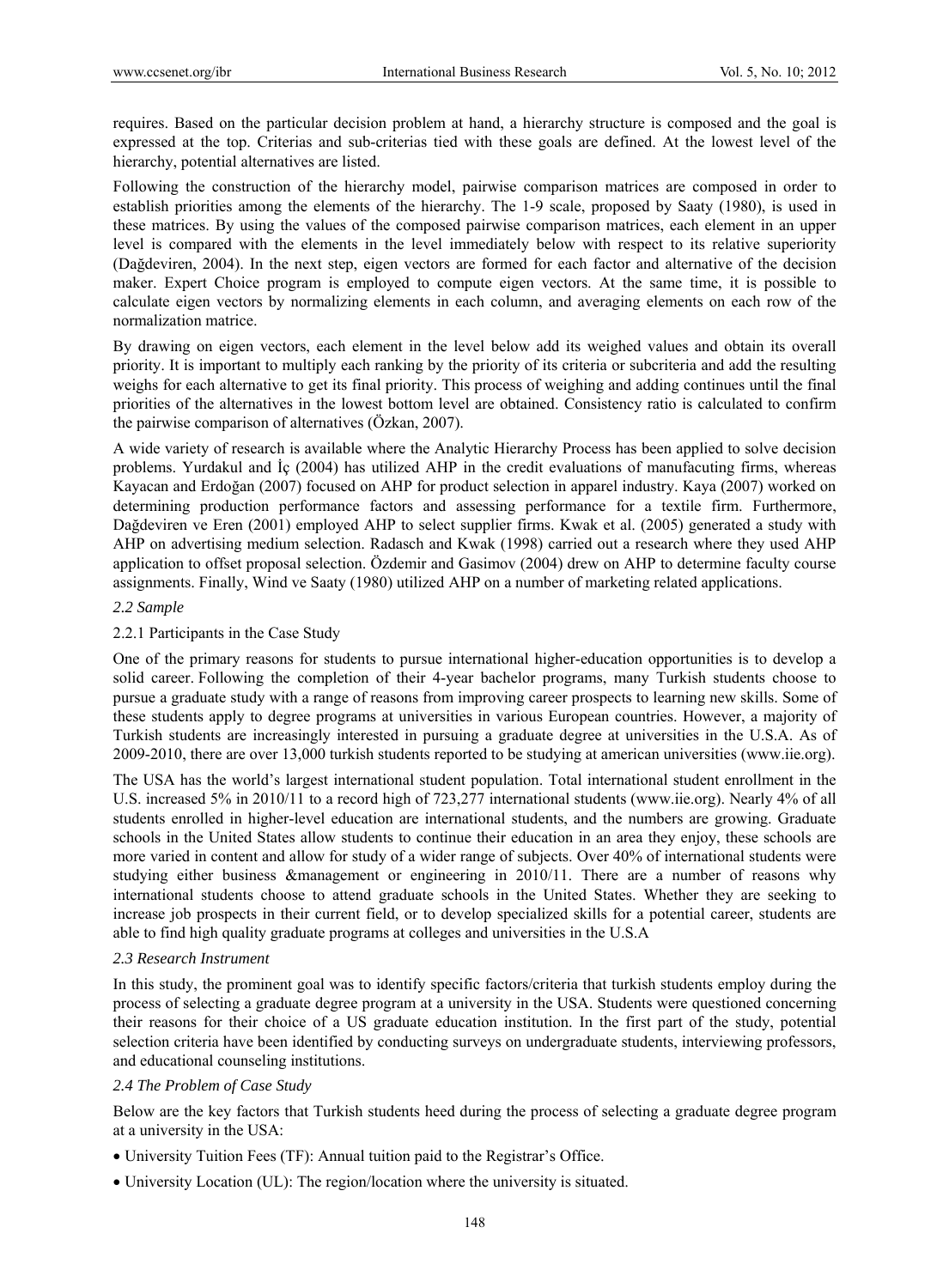requires. Based on the particular decision problem at hand, a hierarchy structure is composed and the goal is expressed at the top. Criterias and sub-criterias tied with these goals are defined. At the lowest level of the hierarchy, potential alternatives are listed.

Following the construction of the hierarchy model, pairwise comparison matrices are composed in order to establish priorities among the elements of the hierarchy. The 1-9 scale, proposed by Saaty (1980), is used in these matrices. By using the values of the composed pairwise comparison matrices, each element in an upper level is compared with the elements in the level immediately below with respect to its relative superiority (Dağdeviren, 2004). In the next step, eigen vectors are formed for each factor and alternative of the decision maker. Expert Choice program is employed to compute eigen vectors. At the same time, it is possible to calculate eigen vectors by normalizing elements in each column, and averaging elements on each row of the normalization matrice.

By drawing on eigen vectors, each element in the level below add its weighed values and obtain its overall priority. It is important to multiply each ranking by the priority of its criteria or subcriteria and add the resulting weighs for each alternative to get its final priority. This process of weighing and adding continues until the final priorities of the alternatives in the lowest bottom level are obtained. Consistency ratio is calculated to confirm the pairwise comparison of alternatives (Özkan, 2007).

A wide variety of research is available where the Analytic Hierarchy Process has been applied to solve decision problems. Yurdakul and İç (2004) has utilized AHP in the credit evaluations of manufacuting firms, whereas Kayacan and Erdoğan (2007) focused on AHP for product selection in apparel industry. Kaya (2007) worked on determining production performance factors and assessing performance for a textile firm. Furthermore, Dağdeviren ve Eren (2001) employed AHP to select supplier firms. Kwak et al. (2005) generated a study with AHP on advertising medium selection. Radasch and Kwak (1998) carried out a research where they used AHP application to offset proposal selection. Özdemir and Gasimov (2004) drew on AHP to determine faculty course assignments. Finally, Wind ve Saaty (1980) utilized AHP on a number of marketing related applications.

#### *2.2 Sample*

#### 2.2.1 Participants in the Case Study

One of the primary reasons for students to pursue international higher-education opportunities is to develop a solid career. Following the completion of their 4-year bachelor programs, many Turkish students choose to pursue a graduate study with a range of reasons from improving career prospects to learning new skills. Some of these students apply to degree programs at universities in various European countries. However, a majority of Turkish students are increasingly interested in pursuing a graduate degree at universities in the U.S.A. As of 2009-2010, there are over 13,000 turkish students reported to be studying at american universities (www.iie.org).

The USA has the world's largest international student population. Total international student enrollment in the U.S. increased 5% in 2010/11 to a record high of 723,277 international students (www.iie.org). Nearly 4% of all students enrolled in higher-level education are international students, and the numbers are growing. Graduate schools in the United States allow students to continue their education in an area they enjoy, these schools are more varied in content and allow for study of a wider range of subjects. Over 40% of international students were studying either business &management or engineering in 2010/11. There are a number of reasons why international students choose to attend graduate schools in the United States. Whether they are seeking to increase job prospects in their current field, or to develop specialized skills for a potential career, students are able to find high quality graduate programs at colleges and universities in the U.S.A

#### *2.3 Research Instrument*

In this study, the prominent goal was to identify specific factors/criteria that turkish students employ during the process of selecting a graduate degree program at a university in the USA. Students were questioned concerning their reasons for their choice of a US graduate education institution. In the first part of the study, potential selection criteria have been identified by conducting surveys on undergraduate students, interviewing professors, and educational counseling institutions.

#### *2.4 The Problem of Case Study*

Below are the key factors that Turkish students heed during the process of selecting a graduate degree program at a university in the USA:

- University Tuition Fees (TF): Annual tuition paid to the Registrar's Office.
- University Location (UL): The region/location where the university is situated.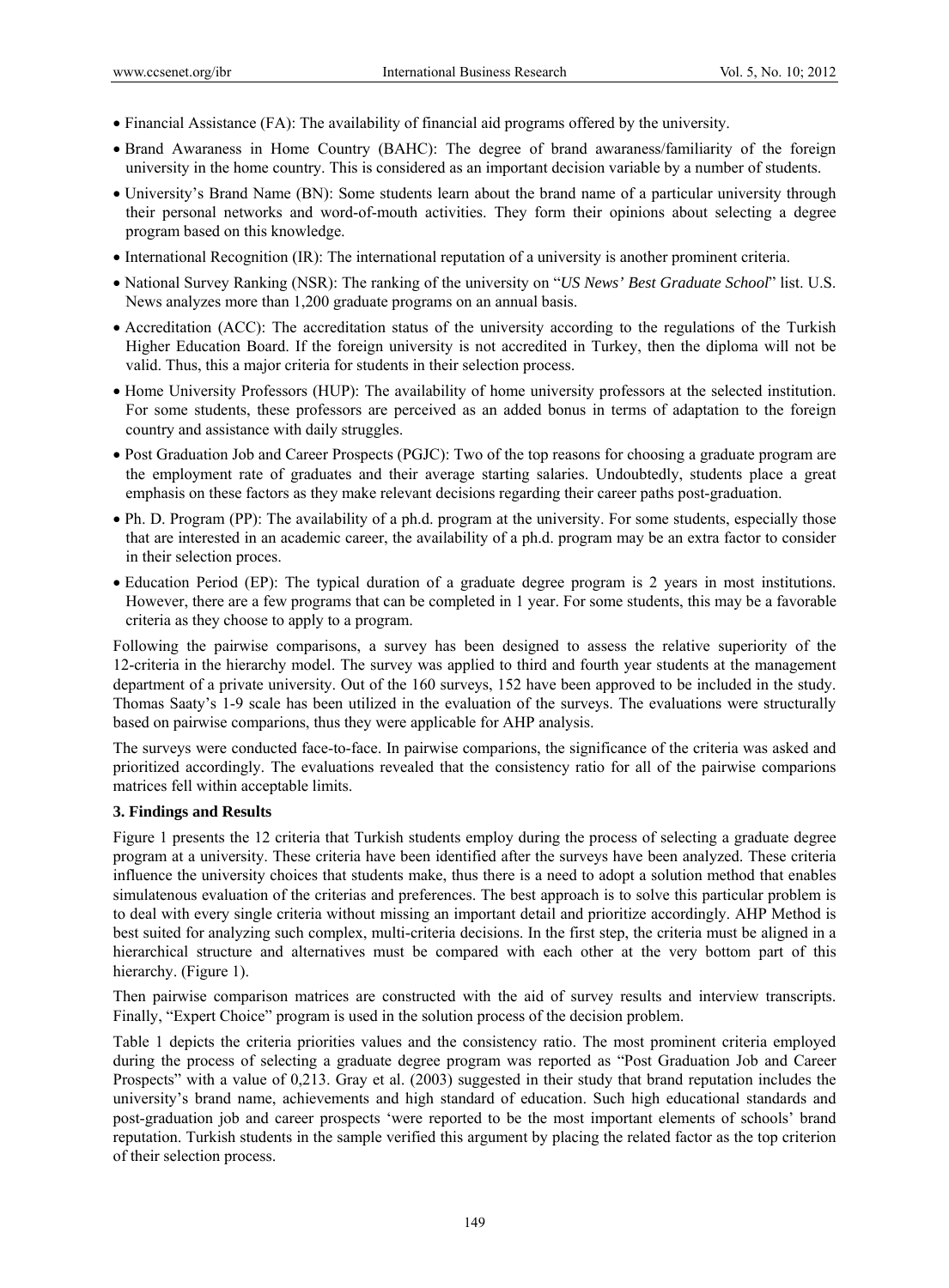- Financial Assistance (FA): The availability of financial aid programs offered by the university.
- Brand Awaraness in Home Country (BAHC): The degree of brand awaraness/familiarity of the foreign university in the home country. This is considered as an important decision variable by a number of students.
- University's Brand Name (BN): Some students learn about the brand name of a particular university through their personal networks and word-of-mouth activities. They form their opinions about selecting a degree program based on this knowledge.
- International Recognition (IR): The international reputation of a university is another prominent criteria.
- National Survey Ranking (NSR): The ranking of the university on "*US News' Best Graduate School*" list. U.S. News analyzes more than 1,200 graduate programs on an annual basis.
- Accreditation (ACC): The accreditation status of the university according to the regulations of the Turkish Higher Education Board. If the foreign university is not accredited in Turkey, then the diploma will not be valid. Thus, this a major criteria for students in their selection process.
- Home University Professors (HUP): The availability of home university professors at the selected institution. For some students, these professors are perceived as an added bonus in terms of adaptation to the foreign country and assistance with daily struggles.
- Post Graduation Job and Career Prospects (PGJC): Two of the top reasons for choosing a graduate program are the employment rate of graduates and their average starting salaries. Undoubtedly, students place a great emphasis on these factors as they make relevant decisions regarding their career paths post-graduation.
- Ph. D. Program (PP): The availability of a ph.d. program at the university. For some students, especially those that are interested in an academic career, the availability of a ph.d. program may be an extra factor to consider in their selection proces.
- Education Period (EP): The typical duration of a graduate degree program is 2 years in most institutions. However, there are a few programs that can be completed in 1 year. For some students, this may be a favorable criteria as they choose to apply to a program.

Following the pairwise comparisons, a survey has been designed to assess the relative superiority of the 12-criteria in the hierarchy model. The survey was applied to third and fourth year students at the management department of a private university. Out of the 160 surveys, 152 have been approved to be included in the study. Thomas Saaty's 1-9 scale has been utilized in the evaluation of the surveys. The evaluations were structurally based on pairwise comparions, thus they were applicable for AHP analysis.

The surveys were conducted face-to-face. In pairwise comparions, the significance of the criteria was asked and prioritized accordingly. The evaluations revealed that the consistency ratio for all of the pairwise comparions matrices fell within acceptable limits.

# **3. Findings and Results**

Figure 1 presents the 12 criteria that Turkish students employ during the process of selecting a graduate degree program at a university. These criteria have been identified after the surveys have been analyzed. These criteria influence the university choices that students make, thus there is a need to adopt a solution method that enables simulatenous evaluation of the criterias and preferences. The best approach is to solve this particular problem is to deal with every single criteria without missing an important detail and prioritize accordingly. AHP Method is best suited for analyzing such complex, multi-criteria decisions. In the first step, the criteria must be aligned in a hierarchical structure and alternatives must be compared with each other at the very bottom part of this hierarchy. (Figure 1).

Then pairwise comparison matrices are constructed with the aid of survey results and interview transcripts. Finally, "Expert Choice" program is used in the solution process of the decision problem.

Table 1 depicts the criteria priorities values and the consistency ratio. The most prominent criteria employed during the process of selecting a graduate degree program was reported as "Post Graduation Job and Career Prospects" with a value of 0,213. Gray et al. (2003) suggested in their study that brand reputation includes the university's brand name, achievements and high standard of education. Such high educational standards and post-graduation job and career prospects 'were reported to be the most important elements of schools' brand reputation. Turkish students in the sample verified this argument by placing the related factor as the top criterion of their selection process.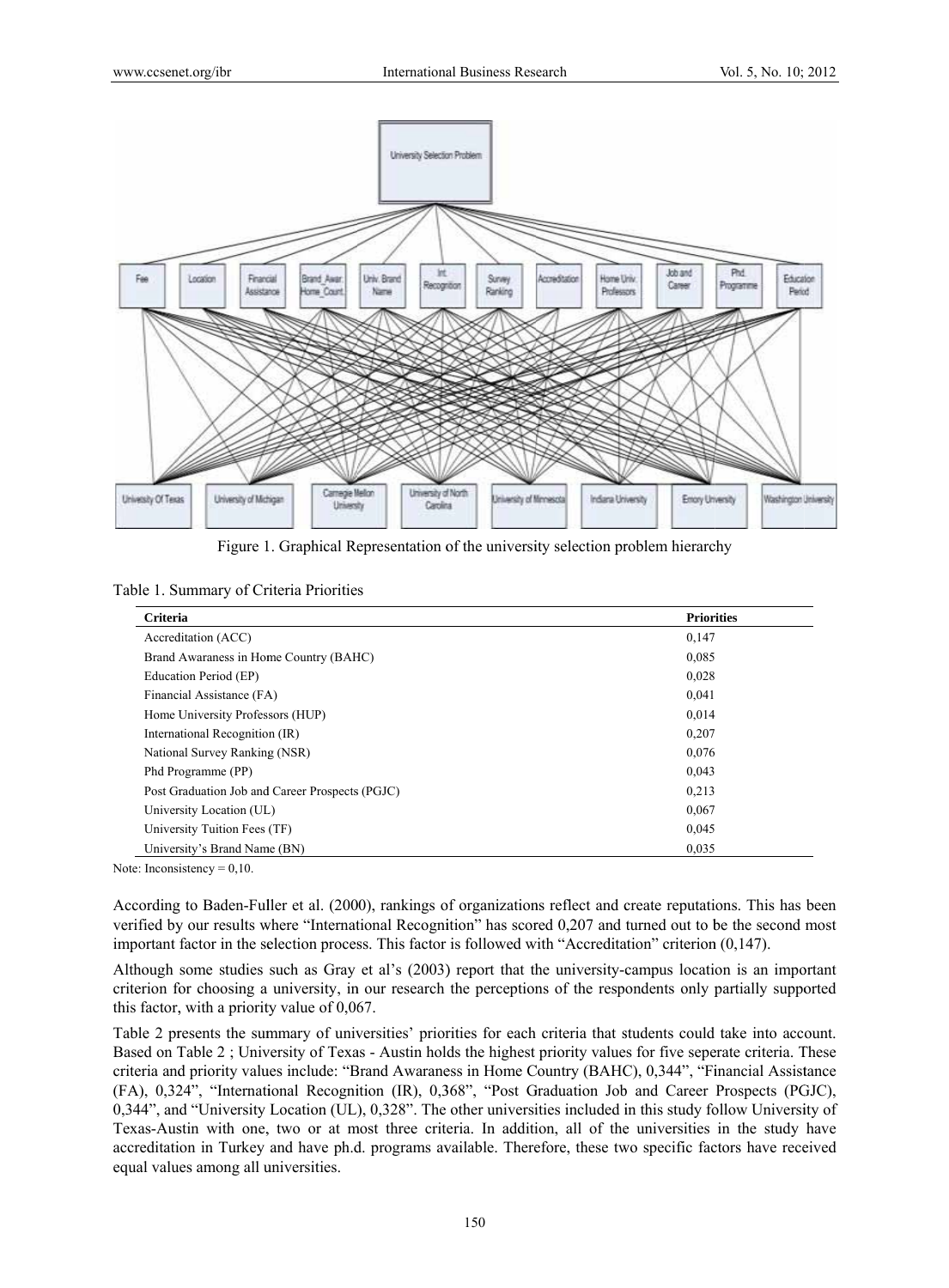

Figure 1. Graphical Representation of the university selection problem hierarchy

Table 1. Summary of Criteria Priorities

| Criteria                                        | <b>Priorities</b> |
|-------------------------------------------------|-------------------|
| Accreditation (ACC)                             | 0,147             |
| Brand Awaraness in Home Country (BAHC)          | 0.085             |
| Education Period (EP)                           | 0,028             |
| Financial Assistance (FA)                       | 0,041             |
| Home University Professors (HUP)                | 0,014             |
| International Recognition (IR)                  | 0,207             |
| National Survey Ranking (NSR)                   | 0,076             |
| Phd Programme (PP)                              | 0,043             |
| Post Graduation Job and Career Prospects (PGJC) | 0.213             |
| University Location (UL)                        | 0,067             |
| University Tuition Fees (TF)                    | 0,045             |
| University's Brand Name (BN)                    | 0.035             |
| te: Inconsistency = $0.10$ .                    |                   |

Note: Inconsistency =  $0,10$ .

According to Baden-Fuller et al. (2000), rankings of organizations reflect and create reputations. This has been verified by our results where "International Recognition" has scored 0,207 and turned out to be the second most important factor in the selection process. This factor is followed with "Accreditation" criterion  $(0,147)$ .

Although some studies such as Gray et al's (2003) report that the university-campus location is an important criterion for choosing a university, in our research the perceptions of the respondents only partially supported this factor, with a priority value of  $0,067$ .

Table 2 presents the summary of universities' priorities for each criteria that students could take into account. Based on Table 2; University of Texas - Austin holds the highest priority values for five seperate criteria. These criteria and priority values include: "Brand Awaraness in Home Country (BAHC), 0,344", "Financial Assistance (FA), 0,324", "International Recognition (IR), 0,368", "Post Graduation Job and Career Prospects (PGJC), 0,344", and "University Location (UL), 0,328". The other universities included in this study follow University of Texas-Austin with one, two or at most three criteria. In addition, all of the universities in the study have accreditation in Turkey and have ph.d. programs available. Therefore, these two specific factors have received equal values among all universities.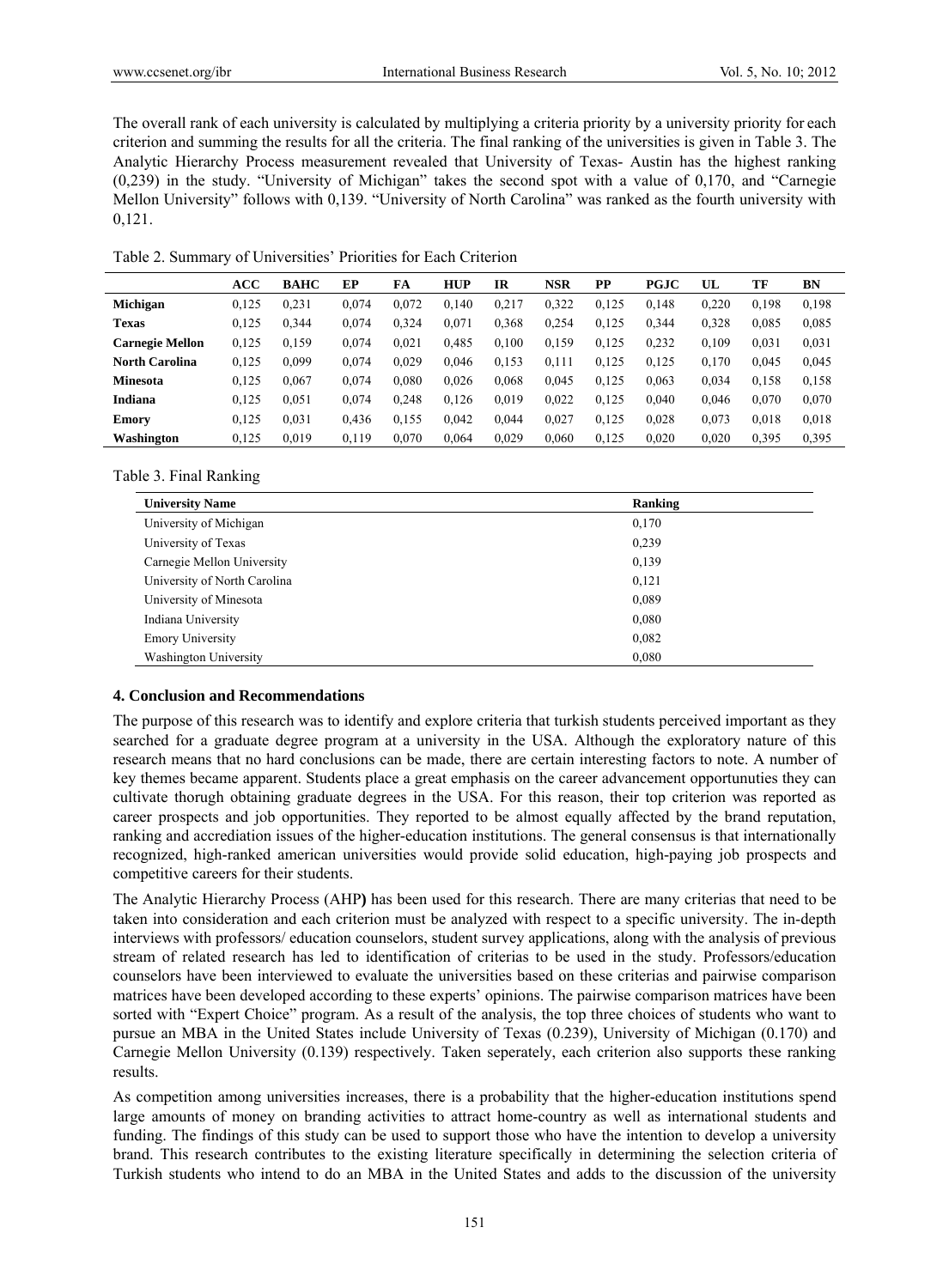The overall rank of each university is calculated by multiplying a criteria priority by a university priority for each criterion and summing the results for all the criteria. The final ranking of the universities is given in Table 3. The Analytic Hierarchy Process measurement revealed that University of Texas- Austin has the highest ranking (0,239) in the study. "University of Michigan" takes the second spot with a value of 0,170, and "Carnegie Mellon University" follows with 0,139. "University of North Carolina" was ranked as the fourth university with 0,121.

Table 2. Summary of Universities' Priorities for Each Criterion

|                        | ACC   | <b>BAHC</b> | EP    | FA    | <b>HUP</b> | IR    | <b>NSR</b> | PP    | <b>PGJC</b> | UL    | TF    | BN    |
|------------------------|-------|-------------|-------|-------|------------|-------|------------|-------|-------------|-------|-------|-------|
| Michigan               | 0.125 | 0.231       | 0.074 | 0.072 | 0.140      | 0.217 | 0.322      | 0.125 | 0.148       | 0.220 | 0.198 | 0,198 |
| <b>Texas</b>           | 0,125 | 0,344       | 0.074 | 0.324 | 0.071      | 0.368 | 0.254      | 0,125 | 0.344       | 0.328 | 0.085 | 0.085 |
| <b>Carnegie Mellon</b> | 0,125 | 0,159       | 0.074 | 0.021 | 0.485      | 0.100 | 0,159      | 0,125 | 0,232       | 0.109 | 0,031 | 0.031 |
| <b>North Carolina</b>  | 0,125 | 0.099       | 0.074 | 0.029 | 0.046      | 0,153 | 0,111      | 0,125 | 0.125       | 0.170 | 0.045 | 0,045 |
| <b>Minesota</b>        | 0.125 | 0.067       | 0.074 | 0.080 | 0.026      | 0.068 | 0.045      | 0.125 | 0.063       | 0.034 | 0.158 | 0,158 |
| Indiana                | 0.125 | 0.051       | 0.074 | 0.248 | 0.126      | 0.019 | 0.022      | 0.125 | 0.040       | 0.046 | 0.070 | 0.070 |
| <b>Emory</b>           | 0.125 | 0.031       | 0,436 | 0.155 | 0.042      | 0.044 | 0,027      | 0,125 | 0,028       | 0.073 | 0,018 | 0,018 |
| Washington             | 0.125 | 0.019       | 0.119 | 0.070 | 0.064      | 0.029 | 0.060      | 0.125 | 0.020       | 0.020 | 0,395 | 0,395 |

Table 3. Final Ranking

| <b>University Name</b>       | Ranking |
|------------------------------|---------|
| University of Michigan       | 0,170   |
| University of Texas          | 0,239   |
| Carnegie Mellon University   | 0,139   |
| University of North Carolina | 0,121   |
| University of Minesota       | 0,089   |
| Indiana University           | 0,080   |
| <b>Emory University</b>      | 0,082   |
| <b>Washington University</b> | 0,080   |

# **4. Conclusion and Recommendations**

The purpose of this research was to identify and explore criteria that turkish students perceived important as they searched for a graduate degree program at a university in the USA. Although the exploratory nature of this research means that no hard conclusions can be made, there are certain interesting factors to note. A number of key themes became apparent. Students place a great emphasis on the career advancement opportunuties they can cultivate thorugh obtaining graduate degrees in the USA. For this reason, their top criterion was reported as career prospects and job opportunities. They reported to be almost equally affected by the brand reputation, ranking and accrediation issues of the higher-education institutions. The general consensus is that internationally recognized, high-ranked american universities would provide solid education, high-paying job prospects and competitive careers for their students.

The Analytic Hierarchy Process (AHP**)** has been used for this research. There are many criterias that need to be taken into consideration and each criterion must be analyzed with respect to a specific university. The in-depth interviews with professors/ education counselors, student survey applications, along with the analysis of previous stream of related research has led to identification of criterias to be used in the study. Professors/education counselors have been interviewed to evaluate the universities based on these criterias and pairwise comparison matrices have been developed according to these experts' opinions. The pairwise comparison matrices have been sorted with "Expert Choice" program. As a result of the analysis, the top three choices of students who want to pursue an MBA in the United States include University of Texas (0.239), University of Michigan (0.170) and Carnegie Mellon University (0.139) respectively. Taken seperately, each criterion also supports these ranking results.

As competition among universities increases, there is a probability that the higher-education institutions spend large amounts of money on branding activities to attract home-country as well as international students and funding. The findings of this study can be used to support those who have the intention to develop a university brand. This research contributes to the existing literature specifically in determining the selection criteria of Turkish students who intend to do an MBA in the United States and adds to the discussion of the university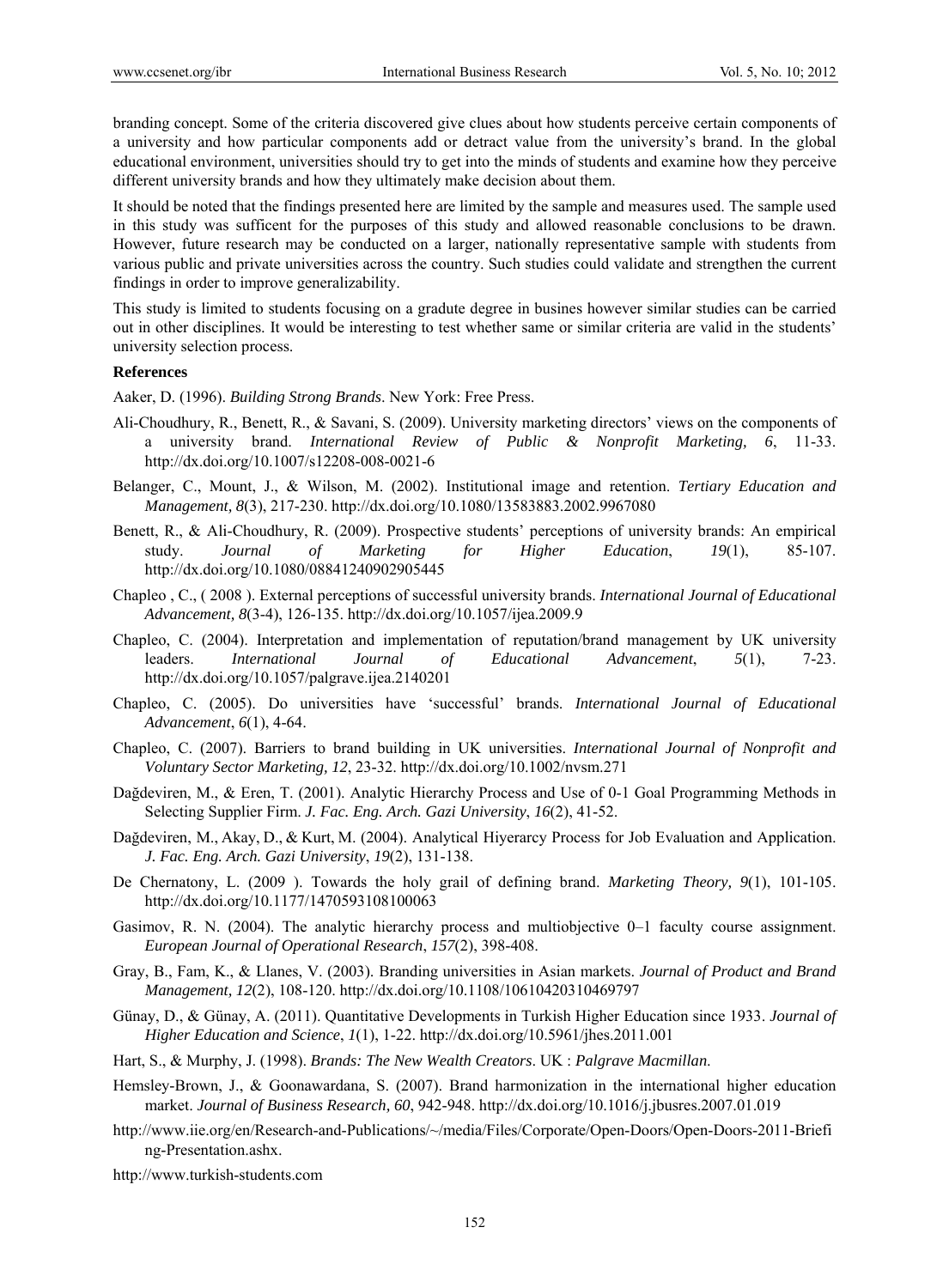branding concept. Some of the criteria discovered give clues about how students perceive certain components of a university and how particular components add or detract value from the university's brand. In the global educational environment, universities should try to get into the minds of students and examine how they perceive different university brands and how they ultimately make decision about them.

It should be noted that the findings presented here are limited by the sample and measures used. The sample used in this study was sufficent for the purposes of this study and allowed reasonable conclusions to be drawn. However, future research may be conducted on a larger, nationally representative sample with students from various public and private universities across the country. Such studies could validate and strengthen the current findings in order to improve generalizability.

This study is limited to students focusing on a gradute degree in busines however similar studies can be carried out in other disciplines. It would be interesting to test whether same or similar criteria are valid in the students' university selection process.

#### **References**

Aaker, D. (1996). *Building Strong Brands*. New York: Free Press.

- Ali-Choudhury, R., Benett, R., & Savani, S. (2009). University marketing directors' views on the components of a university brand. *International Review of Public & Nonprofit Marketing, 6*, 11-33. http://dx.doi.org/10.1007/s12208-008-0021-6
- Belanger, C., Mount, J., & Wilson, M. (2002). Institutional image and retention. *Tertiary Education and Management, 8*(3), 217-230. http://dx.doi.org/10.1080/13583883.2002.9967080
- Benett, R., & Ali-Choudhury, R. (2009). Prospective students' perceptions of university brands: An empirical study. *Journal of Marketing for Higher Education*, *19*(1), 85-107. http://dx.doi.org/10.1080/08841240902905445
- Chapleo , C., ( 2008 ). External perceptions of successful university brands. *International Journal of Educational Advancement, 8*(3-4), 126-135. http://dx.doi.org/10.1057/ijea.2009.9
- Chapleo, C. (2004). Interpretation and implementation of reputation/brand management by UK university leaders. *International Journal of Educational Advancement*, *5*(1), 7-23. http://dx.doi.org/10.1057/palgrave.ijea.2140201
- Chapleo, C. (2005). Do universities have 'successful' brands. *International Journal of Educational Advancement*, *6*(1), 4-64.
- Chapleo, C. (2007). Barriers to brand building in UK universities. *International Journal of Nonprofit and Voluntary Sector Marketing, 12*, 23-32. http://dx.doi.org/10.1002/nvsm.271
- Dağdeviren, M., & Eren, T. (2001). Analytic Hierarchy Process and Use of 0-1 Goal Programming Methods in Selecting Supplier Firm. *J. Fac. Eng. Arch. Gazi University*, *16*(2), 41-52.
- Dağdeviren, M., Akay, D., & Kurt, M. (2004). Analytical Hiyerarcy Process for Job Evaluation and Application. *J. Fac. Eng. Arch. Gazi University*, *19*(2), 131-138.
- De Chernatony, L. (2009 ). Towards the holy grail of defining brand. *Marketing Theory, 9*(1), 101-105. http://dx.doi.org/10.1177/1470593108100063
- Gasimov, R. N. (2004). The analytic hierarchy process and multiobjective 0–1 faculty course assignment. *European Journal of Operational Research*, *157*(2), 398-408.
- Gray, B., Fam, K., & Llanes, V. (2003). Branding universities in Asian markets. *Journal of Product and Brand Management, 12*(2), 108-120. http://dx.doi.org/10.1108/10610420310469797
- Günay, D., & Günay, A. (2011). Quantitative Developments in Turkish Higher Education since 1933. *Journal of Higher Education and Science*, *1*(1), 1-22. http://dx.doi.org/10.5961/jhes.2011.001
- Hart, S., & Murphy, J. (1998). *Brands: The New Wealth Creators*. UK : *Palgrave Macmillan*.
- Hemsley-Brown, J., & Goonawardana, S. (2007). Brand harmonization in the international higher education market. *Journal of Business Research, 60*, 942-948. http://dx.doi.org/10.1016/j.jbusres.2007.01.019
- http://www.iie.org/en/Research-and-Publications/~/media/Files/Corporate/Open-Doors/Open-Doors-2011-Briefi ng-Presentation.ashx.

http://www.turkish-students.com